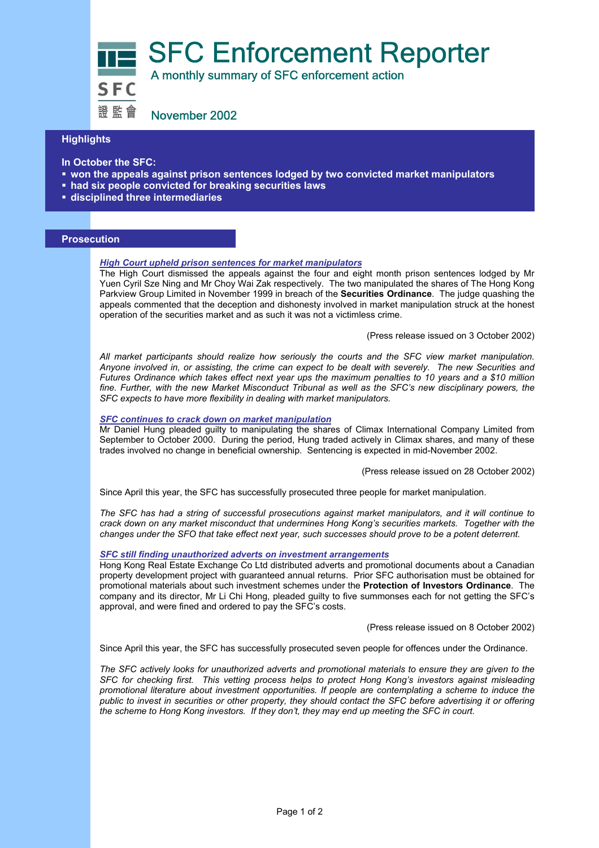SFC Enforcement Reporter<br>SEC A monthly summary of SFC enforcement action

證監會 November 2002

# **Highlights**

**In October the SFC:** 

- **won the appeals against prison sentences lodged by two convicted market manipulators**
- **had six people convicted for breaking securities laws**
- **disciplined three intermediaries**

## **Prosecution**

### *High Court upheld prison sentences for market manipulators*

The High Court dismissed the appeals against the four and eight month prison sentences lodged by Mr Yuen Cyril Sze Ning and Mr Choy Wai Zak respectively. The two manipulated the shares of The Hong Kong Parkview Group Limited in November 1999 in breach of the **Securities Ordinance**. The judge quashing the appeals commented that the deception and dishonesty involved in market manipulation struck at the honest operation of the securities market and as such it was not a victimless crime.

(Press release issued on 3 October 2002)

*All market participants should realize how seriously the courts and the SFC view market manipulation. Anyone involved in, or assisting, the crime can expect to be dealt with severely. The new Securities and Futures Ordinance which takes effect next year ups the maximum penalties to 10 years and a \$10 million*  fine. Further, with the new Market Misconduct Tribunal as well as the SFC's new disciplinary powers, the *SFC expects to have more flexibility in dealing with market manipulators.* 

#### *SFC continues to crack down on market manipulation*

Mr Daniel Hung pleaded guilty to manipulating the shares of Climax International Company Limited from September to October 2000. During the period, Hung traded actively in Climax shares, and many of these trades involved no change in beneficial ownership. Sentencing is expected in mid-November 2002.

(Press release issued on 28 October 2002)

Since April this year, the SFC has successfully prosecuted three people for market manipulation.

*The SFC has had a string of successful prosecutions against market manipulators, and it will continue to crack down on any market misconduct that undermines Hong Kong's securities markets. Together with the changes under the SFO that take effect next year, such successes should prove to be a potent deterrent.* 

#### *SFC still finding unauthorized adverts on investment arrangements*

Hong Kong Real Estate Exchange Co Ltd distributed adverts and promotional documents about a Canadian property development project with guaranteed annual returns. Prior SFC authorisation must be obtained for promotional materials about such investment schemes under the **Protection of Investors Ordinance**. The company and its director, Mr Li Chi Hong, pleaded guilty to five summonses each for not getting the SFC's approval, and were fined and ordered to pay the SFC's costs.

(Press release issued on 8 October 2002)

Since April this year, the SFC has successfully prosecuted seven people for offences under the Ordinance.

*The SFC actively looks for unauthorized adverts and promotional materials to ensure they are given to the SFC for checking first. This vetting process helps to protect Hong Kong's investors against misleading promotional literature about investment opportunities. If people are contemplating a scheme to induce the public to invest in securities or other property, they should contact the SFC before advertising it or offering the scheme to Hong Kong investors. If they don't, they may end up meeting the SFC in court.*